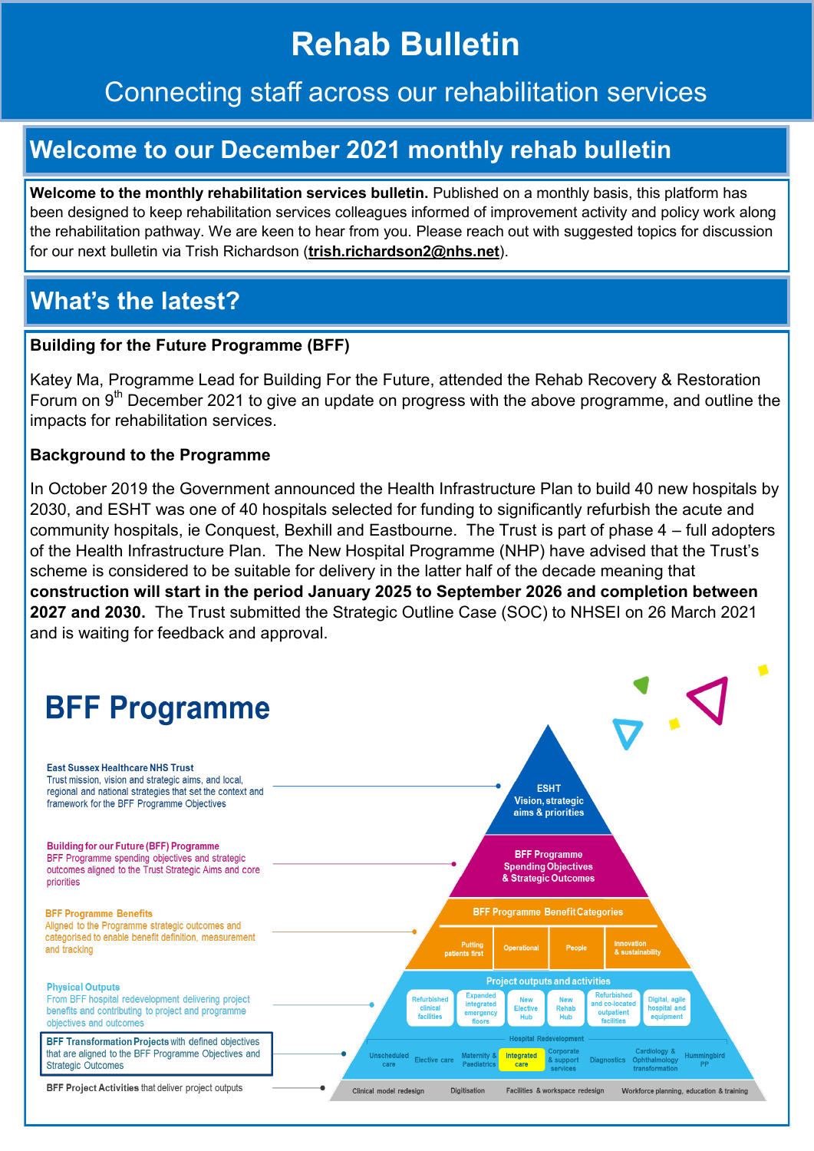# **Rehab Bulletin**

### Connecting staff across our rehabilitation services

## **Welcome to our December 2021 monthly rehab bulletin**

Welcome to the monthly rehabilitation services bulletin. Published on a monthly basis, this platform has been designed to keep rehabilitation services colleagues informed of improvement activity and policy work along the rehabilitation pathway. We are keen to hear from you. Please reach out with suggested topics for discussion for our next bulletin via Trish Richardson (**trish.richardson2@nhs.net**).

## **What's the latest?**

#### **Building for the Future Programme (BFF)**

Katey Ma, Programme Lead for Building For the Future, attended the Rehab Recovery & Restoration Forum on 9<sup>th</sup> December 2021 to give an update on progress with the above programme, and outline the impacts for rehabilitation services.

#### **Background to the Programme**

In October 2019 the Government announced the Health Infrastructure Plan to build 40 new hospitals by 2030, and ESHT was one of 40 hospitals selected for funding to significantly refurbish the acute and community hospitals, ie Conquest, Bexhill and Eastbourne. The Trust is part of phase 4 – full adopters of the Health Infrastructure Plan. The New Hospital Programme (NHP) have advised that the Trust's scheme is considered to be suitable for delivery in the latter half of the decade meaning that **construction will start in the period January 2025 to September 2026 and completion between 2027 and 2030.** The Trust submitted the Strategic Outline Case (SOC) to NHSEI on 26 March 2021 and is waiting for feedback and approval.

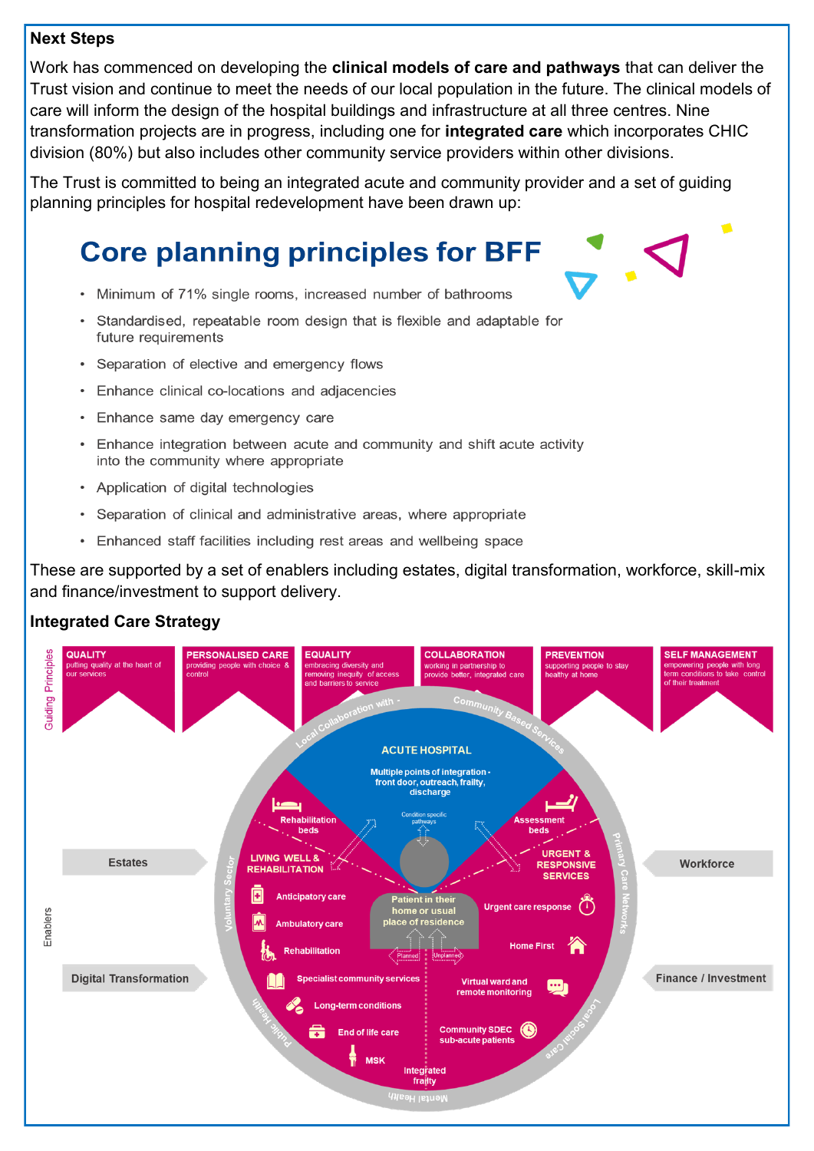#### **Next Steps**

Work has commenced on developing the **clinical models of care and pathways** that can deliver the Trust vision and continue to meet the needs of our local population in the future. The clinical models of care will inform the design of the hospital buildings and infrastructure at all three centres. Nine transformation projects are in progress, including one for **integrated care** which incorporates CHIC division (80%) but also includes other community service providers within other divisions.

The Trust is committed to being an integrated acute and community provider and a set of guiding planning principles for hospital redevelopment have been drawn up:

## **Core planning principles for BFF**

- Minimum of 71% single rooms, increased number of bathrooms
- Standardised, repeatable room design that is flexible and adaptable for future requirements
- Separation of elective and emergency flows
- Enhance clinical co-locations and adjacencies
- Enhance same day emergency care
- Enhance integration between acute and community and shift acute activity into the community where appropriate
- Application of digital technologies
- Separation of clinical and administrative areas, where appropriate
- Enhanced staff facilities including rest areas and wellbeing space

These are supported by a set of enablers including estates, digital transformation, workforce, skill-mix and finance/investment to support delivery.

#### **Integrated Care Strategy**